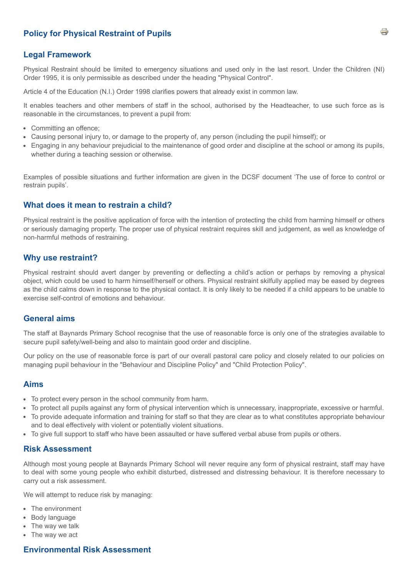# **Policy for Physical Restraint of Pupils**

## **Legal Framework**

Physical Restraint should be limited to emergency situations and used only in the last resort. Under the Children (NI) Order 1995, it is only permissible as described under the heading "Physical Control".

Article 4 of the Education (N.I.) Order 1998 clarifies powers that already exist in common law.

It enables teachers and other members of staff in the school, authorised by the Headteacher, to use such force as is reasonable in the circumstances, to prevent a pupil from:

- Committing an offence;
- Causing personal injury to, or damage to the property of, any person (including the pupil himself); or
- Engaging in any behaviour prejudicial to the maintenance of good order and discipline at the school or among its pupils, whether during a teaching session or otherwise.

Examples of possible situations and further information are given in the DCSF document 'The use of force to control or restrain pupils'.

#### **What does it mean to restrain a child?**

Physical restraint is the positive application of force with the intention of protecting the child from harming himself or others or seriously damaging property. The proper use of physical restraint requires skill and judgement, as well as knowledge of non-harmful methods of restraining.

#### **Why use restraint?**

Physical restraint should avert danger by preventing or deflecting a child's action or perhaps by removing a physical object, which could be used to harm himself/herself or others. Physical restraint skilfully applied may be eased by degrees as the child calms down in response to the physical contact. It is only likely to be needed if a child appears to be unable to exercise self-control of emotions and behaviour.

### **General aims**

The staff at Baynards Primary School recognise that the use of reasonable force is only one of the strategies available to secure pupil safety/well-being and also to maintain good order and discipline.

Our policy on the use of reasonable force is part of our overall pastoral care policy and closely related to our policies on managing pupil behaviour in the "Behaviour and Discipline Policy" and "Child Protection Policy".

#### **Aims**

- To protect every person in the school community from harm.
- To protect all pupils against any form of physical intervention which is unnecessary, inappropriate, excessive or harmful.
- To provide adequate information and training for staff so that they are clear as to what constitutes appropriate behaviour and to deal effectively with violent or potentially violent situations.
- To give full support to staff who have been assaulted or have suffered verbal abuse from pupils or others.

#### **Risk Assessment**

Although most young people at Baynards Primary School will never require any form of physical restraint, staff may have to deal with some young people who exhibit disturbed, distressed and distressing behaviour. It is therefore necessary to carry out a risk assessment.

We will attempt to reduce risk by managing:

- The environment
- Body language
- The way we talk
- The way we act

### **Environmental Risk Assessment**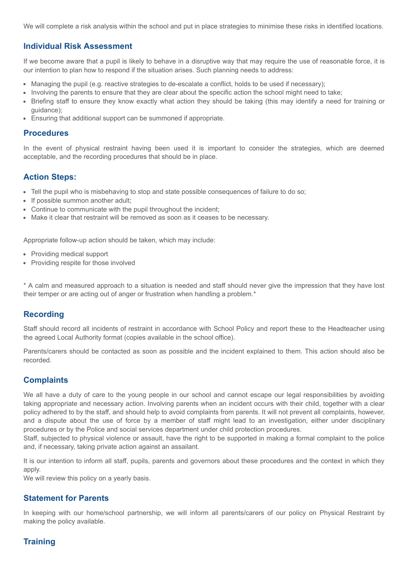We will complete a risk analysis within the school and put in place strategies to minimise these risks in identified locations.

## **Individual Risk Assessment**

If we become aware that a pupil is likely to behave in a disruptive way that may require the use of reasonable force, it is our intention to plan how to respond if the situation arises. Such planning needs to address:

- Managing the pupil (e.g. reactive strategies to de-escalate a conflict, holds to be used if necessary);
- Involving the parents to ensure that they are clear about the specific action the school might need to take;
- Briefing staff to ensure they know exactly what action they should be taking (this may identify a need for training or guidance);
- Ensuring that additional support can be summoned if appropriate.

#### **Procedures**

In the event of physical restraint having been used it is important to consider the strategies, which are deemed acceptable, and the recording procedures that should be in place.

## **Action Steps:**

- Tell the pupil who is misbehaving to stop and state possible consequences of failure to do so;
- If possible summon another adult;
- Continue to communicate with the pupil throughout the incident;
- Make it clear that restraint will be removed as soon as it ceases to be necessary.

Appropriate follow-up action should be taken, which may include:

- Providing medical support
- Providing respite for those involved

\* A calm and measured approach to a situation is needed and staff should never give the impression that they have lost their temper or are acting out of anger or frustration when handling a problem.\*

## **Recording**

Staff should record all incidents of restraint in accordance with School Policy and report these to the Headteacher using the agreed Local Authority format (copies available in the school office).

Parents/carers should be contacted as soon as possible and the incident explained to them. This action should also be recorded.

## **Complaints**

We all have a duty of care to the young people in our school and cannot escape our legal responsibilities by avoiding taking appropriate and necessary action. Involving parents when an incident occurs with their child, together with a clear policy adhered to by the staff, and should help to avoid complaints from parents. It will not prevent all complaints, however, and a dispute about the use of force by a member of staff might lead to an investigation, either under disciplinary procedures or by the Police and social services department under child protection procedures.

Staff, subjected to physical violence or assault, have the right to be supported in making a formal complaint to the police and, if necessary, taking private action against an assailant.

It is our intention to inform all staff, pupils, parents and governors about these procedures and the context in which they apply.

We will review this policy on a yearly basis.

## **Statement for Parents**

In keeping with our home/school partnership, we will inform all parents/carers of our policy on Physical Restraint by making the policy available.

# **Training**